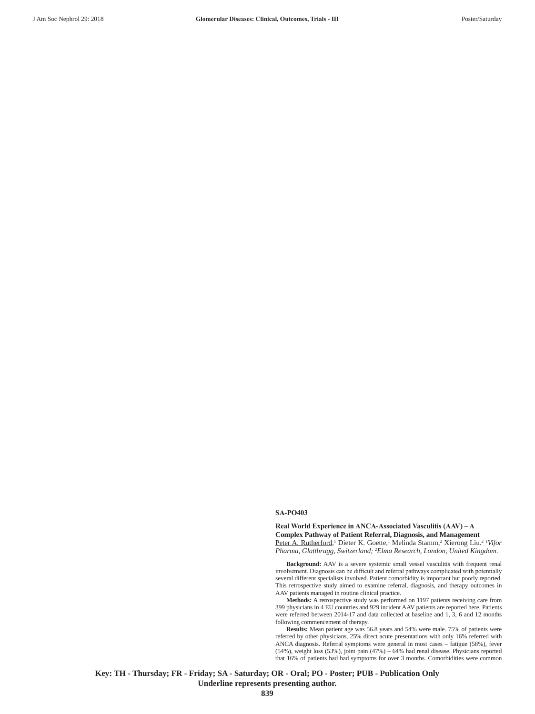## **SA-PO403**

**Real World Experience in ANCA-Associated Vasculitis (AAV) – A Complex Pathway of Patient Referral, Diagnosis, and Management** Peter A. Rutherford,<sup>1</sup> Dieter K. Goette,<sup>1</sup> Melinda Stamm,<sup>2</sup> Xierong Liu.<sup>2</sup> <sup>1</sup>Vifor *Pharma, Glattbrugg, Switzerland; 2 Elma Research, London, United Kingdom*.

**Background:** AAV is a severe systemic small vessel vasculitis with frequent renal involvement. Diagnosis can be difficult and referral pathways complicated with potentially several different specialists involved. Patient comorbidity is important but poorly reported. This retrospective study aimed to examine referral, diagnosis, and therapy outcomes in AAV patients managed in routine clinical practice.

**Methods:** A retrospective study was performed on 1197 patients receiving care from 399 physicians in 4 EU countries and 929 incident AAV patients are reported here. Patients were referred between 2014-17 and data collected at baseline and 1, 3, 6 and 12 months following commencement of therapy.

**Results:** Mean patient age was 56.8 years and 54% were male. 75% of patients were referred by other physicians, 25% direct acute presentations with only 16% referred with ANCA diagnosis. Referral symptoms were general in most cases – fatigue (58%), fever (54%), weight loss (53%), joint pain (47%) – 64% had renal disease. Physicians reported that 16% of patients had had symptoms for over 3 months. Comorbidities were common

**Key: TH - Thursday; FR - Friday; SA - Saturday; OR - Oral; PO - Poster; PUB - Publication Only Underline represents presenting author. 839**